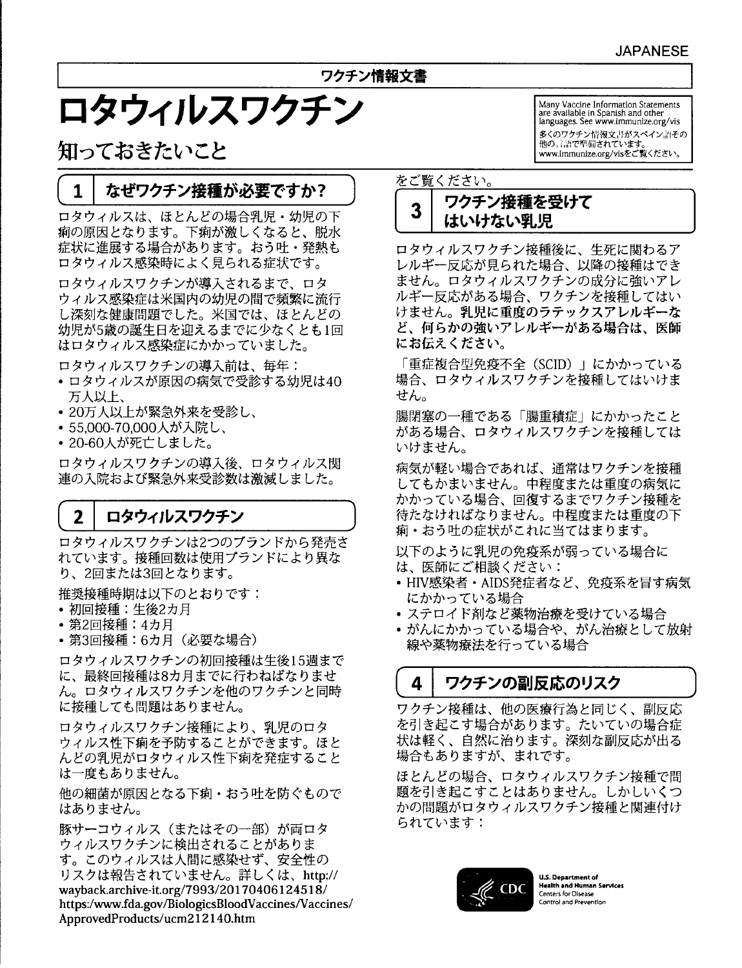## ワクチン情報文書

# ロタウィルスワクチン

知っておきたいこと

#### なぜワクチン接種が必要ですか?  $\mathbf{1}$

ロタウィルスは、ほとんどの場合乳児・幼児の下 痢の原因となります。下痢が激しくなると、脱水 症状に進展する場合があります。おう吐・発熱も ロタウィルス感染時によく見られる症状です。

ロタウィルスワクチンが導入されるまで、ロタ ウィルス感染症は米国内の幼児の間で頻繁に流行 し深刻な健康問題でした。米国では、ほとんどの 幼児が5歳の誕生日を迎えるまでに少なくとも1回 はロタウィルス感染症にかかっていました。

ロタウィルスワクチンの導入前は、毎年:

- ロタウィルスが原因の病気で受診する幼児は40 万人以上、
- 20万人以上が緊急外来を受診し、
- 55,000-70,000人が入院し、
- 20-60人が死亡しました。

ロタウィルスワクチンの導入後、ロタウィルス関 連の入院および緊急外来受診数は激減しました。

#### $\overline{2}$ ロタウィルスワクチン

ロタウィルスワクチンは2つのブランドから発売さ れています。接種回数は使用ブランドにより異な り、2回または3回となります。

推奨接種時期は以下のとおりです:

- 初回接種:生後2カ月
- 第2回接種:4カ月
- 第3回接種:6カ月 (必要な場合)

ロタウィルスワクチンの初回接種は生後15週まで に、最終回接種は8カ月までに行わねばなりませ ん。ロタウィルスワクチンを他のワクチンと同時 に接種しても問題はありません。

ロタウィルスワクチン接種により、乳児のロタ ウィルス性下痢を予防することができます。ほと んどの乳児がロタウィルス性下痢を発症すること は一度もありません。

他の細菌が原因となる下痢・おう吐を防ぐもので はありません。

豚サーコウィルス (またはその一部)が両ロタ ウィルスワクチンに検出されることがありま す。このウィルスは人間に感染せず、安全性の リスクは報告されていません。詳しくは、http:// wayback.archive-it.org/7993/20170406124518/ https:/www.fda.gov/BiologicsBloodVaccines/Vaccines/ ApprovedProducts/ucm212140.htm

Many Vaccine Information Statements are available in Spanish and other<br>languages. See www.immunize.org/vis 多くのワクチン情報文書がスペイン語その 他の言語で準備されています。 www.immunize.org/visをご覧ください。

## をご覧ください。

#### ワクチン接種を受けて 3 はいけない乳児

ロタウィルスワクチン接種後に、生死に関わるア レルギー反応が見られた場合、以降の接種はでき ません。ロタウィルスワクチンの成分に強いアレ ルギー反応がある場合、ワクチンを接種してはい けません。乳児に重度のラテックスアレルギーな ど、何らかの強いアレルギーがある場合は、医師 にお伝えください。

「重症複合型免疫不全 (SCID)」にかかっている 場合、ロタウィルスワクチンを接種してはいけま せん。

腸閉塞の一種である「腸重積症」にかかったこと がある場合、ロタウィルスワクチンを接種しては いけません。

病気が軽い場合であれば、通常はワクチンを接種 してもかまいません。中程度または重度の病気に かかっている場合、回復するまでワクチン接種を 待たなければなりません。中程度または重度の下 痢・おう吐の症状がこれに当てはまります。

以下のように乳児の免疫系が弱っている場合に は、医師にご相談ください:

- HIV感染者 · AIDS発症者など、免疫系を冒す病気 にかかっている場合
- ステロイド剤など薬物治療を受けている場合
- がんにかかっている場合や、がん治療として放射 線や薬物療法を行っている場合

#### 4 ワクチンの副反応のリスク

ワクチン接種は、他の医療行為と同じく、副反応 を引き起こす場合があります。たいていの場合症 状は軽く、自然に治ります。深刻な副反応が出る 場合もありますが、まれです。

ほとんどの場合、ロタウィルスワクチン接種で問 題を引き起こすことはありません。しかしいくつ かの問題がロタウィルスワクチン接種と関連付け られています:



**U.S. Department of Health and Human Services Centers for Disease** Control and Prevention